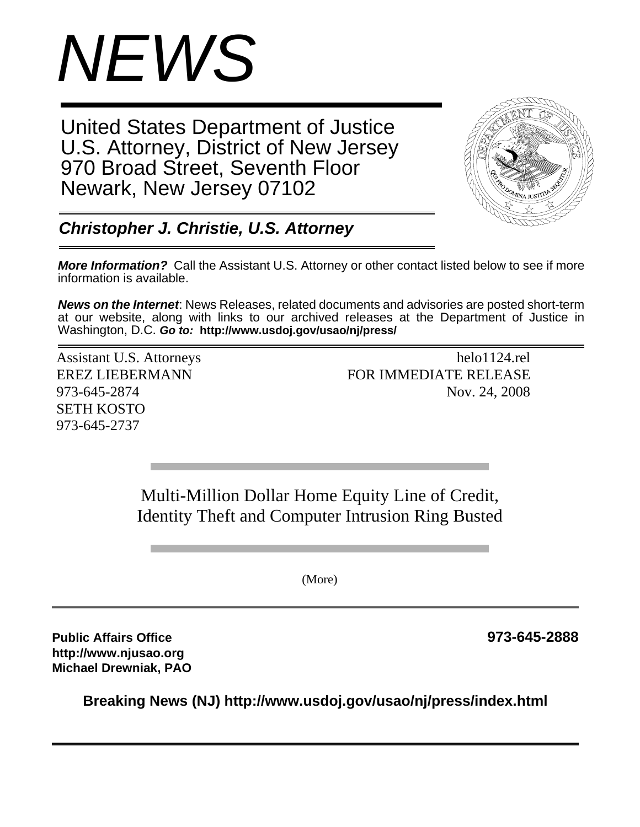

United States Department of Justice U.S. Attorney, District of New Jersey 970 Broad Street, Seventh Floor Newark, New Jersey 07102



*Christopher J. Christie, U.S. Attorney*

*More Information?* Call the Assistant U.S. Attorney or other contact listed below to see if more information is available.

*News on the Internet*: News Releases, related documents and advisories are posted short-term at our website, along with links to our archived releases at the Department of Justice in Washington, D.C. *Go to:* **http://www.usdoj.gov/usao/nj/press/**

SETH KOSTO 973-645-2737

Assistant U.S. Attorneys helo1124.rel EREZ LIEBERMANN FOR IMMEDIATE RELEASE 973-645-2874 Nov. 24, 2008

> Multi-Million Dollar Home Equity Line of Credit, Identity Theft and Computer Intrusion Ring Busted

> > (More)

**Public Affairs Office 973-645-2888 http://www.njusao.org Michael Drewniak, PAO**

**Breaking News (NJ) http://www.usdoj.gov/usao/nj/press/index.html**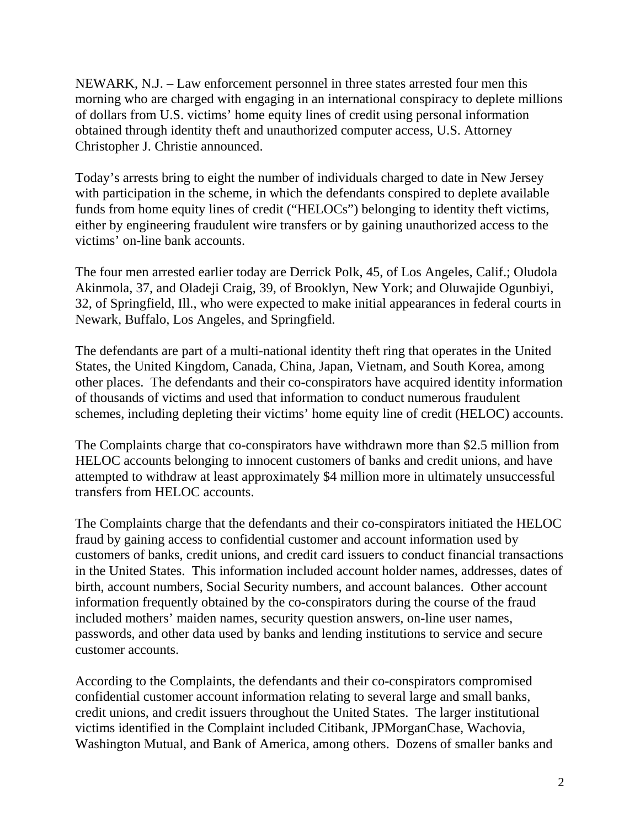NEWARK, N.J. – Law enforcement personnel in three states arrested four men this morning who are charged with engaging in an international conspiracy to deplete millions of dollars from U.S. victims' home equity lines of credit using personal information obtained through identity theft and unauthorized computer access, U.S. Attorney Christopher J. Christie announced.

Today's arrests bring to eight the number of individuals charged to date in New Jersey with participation in the scheme, in which the defendants conspired to deplete available funds from home equity lines of credit ("HELOCs") belonging to identity theft victims, either by engineering fraudulent wire transfers or by gaining unauthorized access to the victims' on-line bank accounts.

The four men arrested earlier today are Derrick Polk, 45, of Los Angeles, Calif.; Oludola Akinmola, 37, and Oladeji Craig, 39, of Brooklyn, New York; and Oluwajide Ogunbiyi, 32, of Springfield, Ill., who were expected to make initial appearances in federal courts in Newark, Buffalo, Los Angeles, and Springfield.

The defendants are part of a multi-national identity theft ring that operates in the United States, the United Kingdom, Canada, China, Japan, Vietnam, and South Korea, among other places. The defendants and their co-conspirators have acquired identity information of thousands of victims and used that information to conduct numerous fraudulent schemes, including depleting their victims' home equity line of credit (HELOC) accounts.

The Complaints charge that co-conspirators have withdrawn more than \$2.5 million from HELOC accounts belonging to innocent customers of banks and credit unions, and have attempted to withdraw at least approximately \$4 million more in ultimately unsuccessful transfers from HELOC accounts.

The Complaints charge that the defendants and their co-conspirators initiated the HELOC fraud by gaining access to confidential customer and account information used by customers of banks, credit unions, and credit card issuers to conduct financial transactions in the United States. This information included account holder names, addresses, dates of birth, account numbers, Social Security numbers, and account balances. Other account information frequently obtained by the co-conspirators during the course of the fraud included mothers' maiden names, security question answers, on-line user names, passwords, and other data used by banks and lending institutions to service and secure customer accounts.

According to the Complaints, the defendants and their co-conspirators compromised confidential customer account information relating to several large and small banks, credit unions, and credit issuers throughout the United States. The larger institutional victims identified in the Complaint included Citibank, JPMorganChase, Wachovia, Washington Mutual, and Bank of America, among others. Dozens of smaller banks and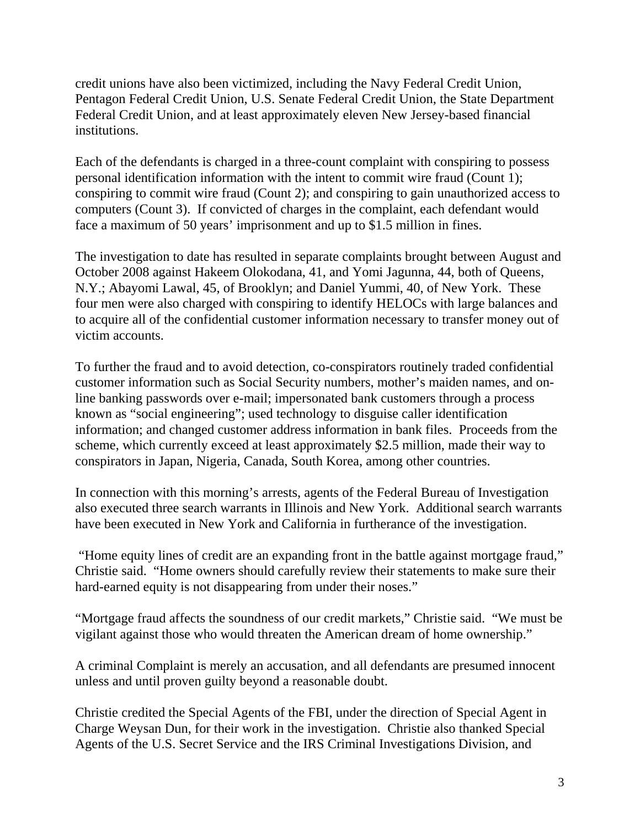credit unions have also been victimized, including the Navy Federal Credit Union, Pentagon Federal Credit Union, U.S. Senate Federal Credit Union, the State Department Federal Credit Union, and at least approximately eleven New Jersey-based financial institutions.

Each of the defendants is charged in a three-count complaint with conspiring to possess personal identification information with the intent to commit wire fraud (Count 1); conspiring to commit wire fraud (Count 2); and conspiring to gain unauthorized access to computers (Count 3). If convicted of charges in the complaint, each defendant would face a maximum of 50 years' imprisonment and up to \$1.5 million in fines.

The investigation to date has resulted in separate complaints brought between August and October 2008 against Hakeem Olokodana, 41, and Yomi Jagunna, 44, both of Queens, N.Y.; Abayomi Lawal, 45, of Brooklyn; and Daniel Yummi, 40, of New York. These four men were also charged with conspiring to identify HELOCs with large balances and to acquire all of the confidential customer information necessary to transfer money out of victim accounts.

To further the fraud and to avoid detection, co-conspirators routinely traded confidential customer information such as Social Security numbers, mother's maiden names, and online banking passwords over e-mail; impersonated bank customers through a process known as "social engineering"; used technology to disguise caller identification information; and changed customer address information in bank files. Proceeds from the scheme, which currently exceed at least approximately \$2.5 million, made their way to conspirators in Japan, Nigeria, Canada, South Korea, among other countries.

In connection with this morning's arrests, agents of the Federal Bureau of Investigation also executed three search warrants in Illinois and New York. Additional search warrants have been executed in New York and California in furtherance of the investigation.

 "Home equity lines of credit are an expanding front in the battle against mortgage fraud," Christie said. "Home owners should carefully review their statements to make sure their hard-earned equity is not disappearing from under their noses."

"Mortgage fraud affects the soundness of our credit markets," Christie said. "We must be vigilant against those who would threaten the American dream of home ownership."

A criminal Complaint is merely an accusation, and all defendants are presumed innocent unless and until proven guilty beyond a reasonable doubt.

Christie credited the Special Agents of the FBI, under the direction of Special Agent in Charge Weysan Dun, for their work in the investigation. Christie also thanked Special Agents of the U.S. Secret Service and the IRS Criminal Investigations Division, and